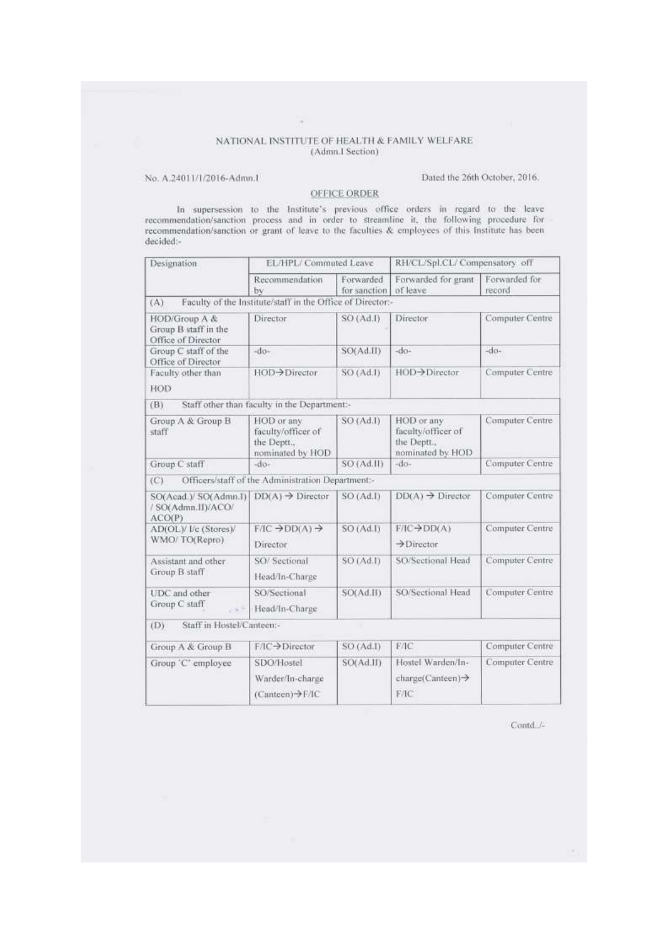#### NATIONAL INSTITUTE OF HEALTH & FAMILY WELFARE (Admn.I Section)

u

## No. A.24011/1/2016-Admn.I

#### Dated the 26th October, 2016.

## OFFICE ORDER

In supersession to the Institute's previous office orders in regard to the leave<br>recommendation/sanction process and in order to streamline it, the following procedure for<br>recommendation/sanction or grant of leave to the decided:-

| Designation                                                 | EL/HPL/ Commuted Leave                                               |                           | RH/CL/Spl.CL/ Compensatory off                                    |                         |
|-------------------------------------------------------------|----------------------------------------------------------------------|---------------------------|-------------------------------------------------------------------|-------------------------|
|                                                             | Recommendation<br>by                                                 | Forwarded<br>for sanction | Forwarded for grant<br>of leave                                   | Forwarded for<br>record |
| (A)                                                         | Faculty of the Institute/staff in the Office of Director:-           |                           |                                                                   |                         |
| HOD/Group A &<br>Group B staff in the<br>Office of Director | Director                                                             | SO(Ad.I)                  | <b>Director</b>                                                   | Computer Centre         |
| Group C staff of the<br>Office of Director                  | $-do-$                                                               | SO(Ad.II)                 | $-do-$                                                            | $-dn-$                  |
| Faculty other than<br><b>HOD</b>                            | HOD→Director                                                         | SO (Ad.I)                 | HOD→Director                                                      | Computer Centre         |
| (B)                                                         | Staff other than faculty in the Department:-                         |                           |                                                                   |                         |
| Group A & Group B<br>staff                                  | HOD or any.<br>faculty/officer of<br>the Deptt.,<br>nominated by HOD | SO (Ad.I)                 | HOD or any<br>faculty/officer of<br>the Deptt<br>nominated by HOD | Computer Centre         |
| Group C staff                                               | $-do-$                                                               | SO (Ad.II)                | $-d\alpha$                                                        | Computer Centre         |
| (C)                                                         | Officers/staff of the Administration Department:-                    |                           |                                                                   |                         |
| SO(Acad.)/ SO(Admn.I)<br>/ SO(Admn.II)/ACO/<br>ACO(P)       | $DD(A)$ $\rightarrow$ Director                                       | SO (Ad.I)                 | $DD(A)$ $\rightarrow$ Director                                    | Computer Centre         |
| AD(OL)/ Vc (Stores)/<br>WMO/TO(Repro)                       | $F/IC \rightarrow D D(A) \rightarrow$<br>Director                    | SO (Ad.I)                 | $F/IC \rightarrow D D(A)$<br>$\rightarrow$ Director               | Computer Centre         |
| Assistant and other<br>Group B staff                        | SO/ Sectional<br>Head/In-Charge                                      | SO (Ad.I)                 | SO/Sectional Head                                                 | Computer Centre         |
| UDC and other<br>Group C staff<br>$-97$                     | SO/Sectional<br>Head/In-Charge                                       | SO(Ad.H)                  | SO/Sectional Head                                                 | Computer Centre         |
| Staff in Hostel/Canteen:-<br>(D)                            |                                                                      |                           |                                                                   |                         |
| Group A & Group B                                           | F/IC→Director                                                        | SO (Ad.I)                 | F/IC                                                              | Computer Centre         |
| Group 'C' employee                                          | SDO/Hostel<br>Warder/In-charge<br>(Canteen)→F/IC                     | SO(Ad.II)                 | Hostel Warden/In-<br>charge(Canteen) $\rightarrow$<br>F/IC        | Computer Centre         |

Contd./-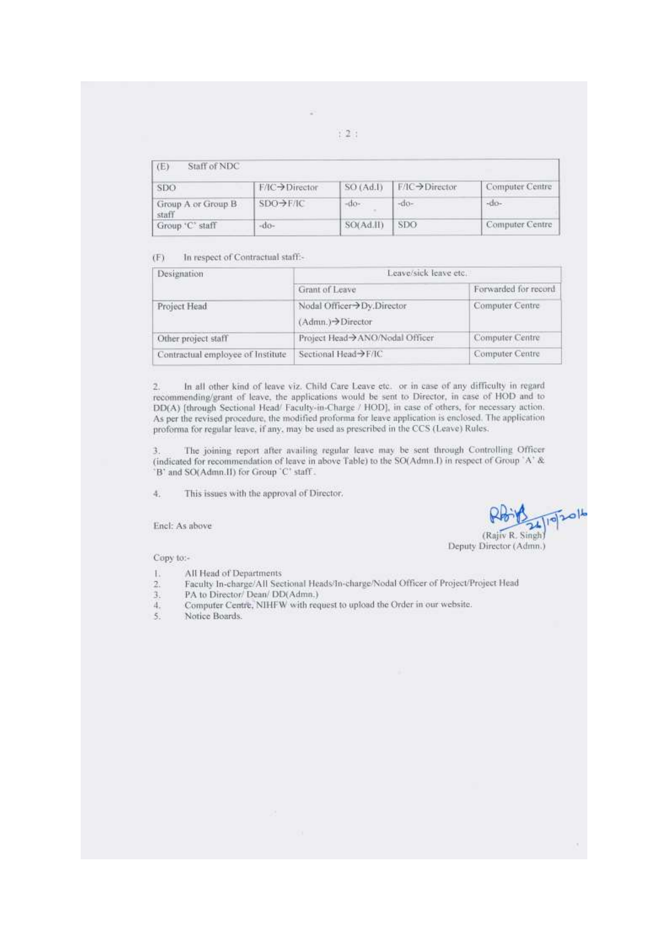| (E)<br>Staff of NDC<br><b>CONTRACTOR</b> |                             |           |                              |                 |
|------------------------------------------|-----------------------------|-----------|------------------------------|-----------------|
| <b>SDO</b>                               | $F/IC \rightarrow Director$ | SO (Ad.I) | $F/\nC \rightarrow$ Director | Computer Centre |
| Group A or Group B<br>staff              | $SDO \rightarrow F / C$     | $-do-$    | $-do-$                       | $-00-$          |
| Group 'C' staff                          | $-d0-$                      | SO(Ad.II) | <b>SDO</b>                   | Computer Centre |

In respect of Contractual staff:- $(F)$ 

| Designation                       | Leave/sick leave etc.                                         |                      |  |  |
|-----------------------------------|---------------------------------------------------------------|----------------------|--|--|
|                                   | Grant of Leave                                                | Forwarded for record |  |  |
| Project Head                      | Nodal Officer > Dv.Director<br>$(Admn.) \rightarrow$ Director | Computer Centre      |  |  |
| Other project staff               | Project Head->ANO/Nodal Officer                               | Computer Centre      |  |  |
| Contractual employee of Institute | Sectional Head→F/IC                                           | Computer Centre      |  |  |

In all other kind of leave viz. Child Care Leave etc. or in case of any difficulty in regard  $2. \,$ recommending/grant of leave, the applications would be sent to Director, in case of HOD and to DD(A) [through Sectional Head/ Faculty-in-Charge / HOD], in case of others, for necessary action.<br>As per the revised procedure, the modified proforma for leave application is enclosed. The application proforma for regular leave, if any, may be used as prescribed in the CCS (Leave) Rules.

The joining report after availing regular leave may be sent through Controlling Officer 3. (indicated for recommendation of leave in above Table) to the SO(Admn.I) in respect of Group 'A' & 'B' and SO(Admn.II) for Group 'C' staff.

This issues with the approval of Director.  $4.$ 

Encl: As above

 $24|10|30|$ (Rajiv R. Singh)

Deputy Director (Admn.)

Copy to:-

- L. All Head of Departments
- Faculty In-charge/All Sectional Heads/In-charge/Nodal Officer of Project/Project Head  $\overline{2}$
- $\bar{3}.$ PA to Director/ Dean/ DD(Admn.)
- $4.$ Computer Centre, NIHFW with request to upload the Order in our website.
- Notice Boards. 5.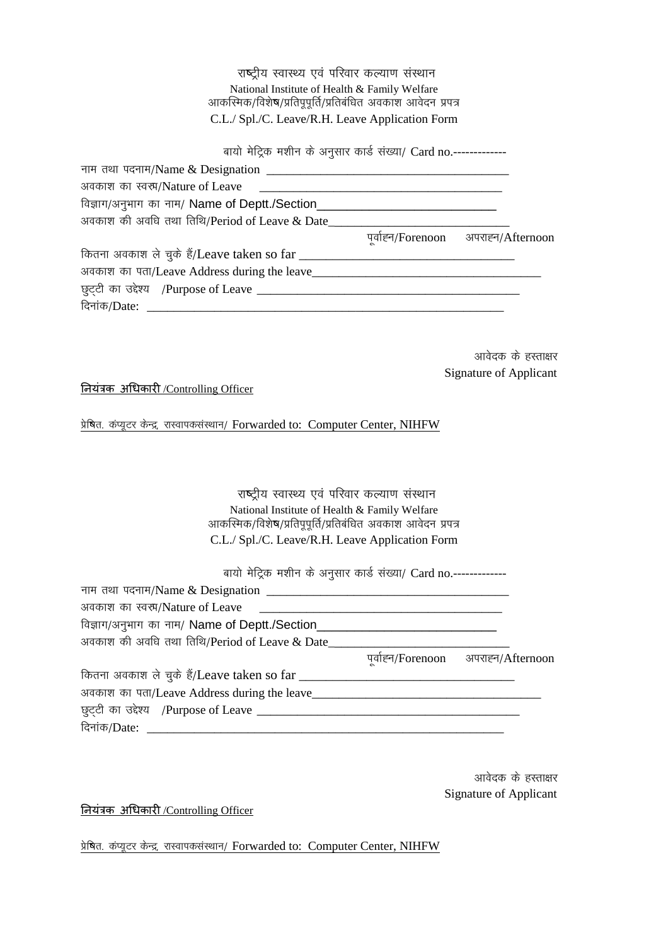राष्ट्रीय स्वास्थ्य एवं परिवार कल्याण संस्थान National Institute of Health & Family Welfare आकस्मिक/विशेष/प्रतिपूपूर्ति/प्रतिबंधित अवकांश आवेदन प्रपत्र C.L./ Spl./C. Leave/R.H. Leave Application Form

बायो मेट्रिक मशीन के अनुसार कार्ड संख्या/ Card no.-------------

| अवकाश का स्वस्प/Nature of Leave                      |                                      |
|------------------------------------------------------|--------------------------------------|
| विज्ञाग/अनुभाग का नाम/ Name of Deptt./Section_______ |                                      |
| अवकाश की अवधि तथा तिथि/Period of Leave & Date_       |                                      |
|                                                      | पूर्वाह्न/Forenoon अपराह्न/Afternoon |
|                                                      |                                      |
| अवकाश का पता/Leave Address during the leave____      |                                      |
|                                                      |                                      |
|                                                      |                                      |

आवेदक के हस्ताक्षर **Signature of Applicant** 

# नियंत्रक अधिकारी /Controlling Officer

प्रेषित. कंप्यूटर केन्द्र, रास्वापकसंस्थान/ Forwarded to: Computer Center, NIHFW

राष्ट्रीय स्वास्थ्य एवं परिवार कल्याण संस्थान National Institute of Health & Family Welfare आकस्मिक/विशेष/प्रतिपूपूर्ति/प्रतिबंधित अवकाश आवेदन प्रपत्र C.L./ Spl./C. Leave/R.H. Leave Application Form

बायो मेट्रिक मशीन के अनुसार कार्ड संख्या/ Card no.-------------

पर्वाह्न/Forenoon अपराह्न/Afternoon दिनांक/Date: बाली के लिए के बाद पर प्रकाश कर रही है। अपने प्रकाश के लिए किसी के लिए किया जाने के लिए किया जा स

> आवेदक के हस्ताक्षर **Signature of Applicant**

नियंत्रक अधिकारी /Controlling Officer

प्रेषित. कंप्यूटर केन्द्र, रास्वापकसंस्थान/ Forwarded to: Computer Center, NIHFW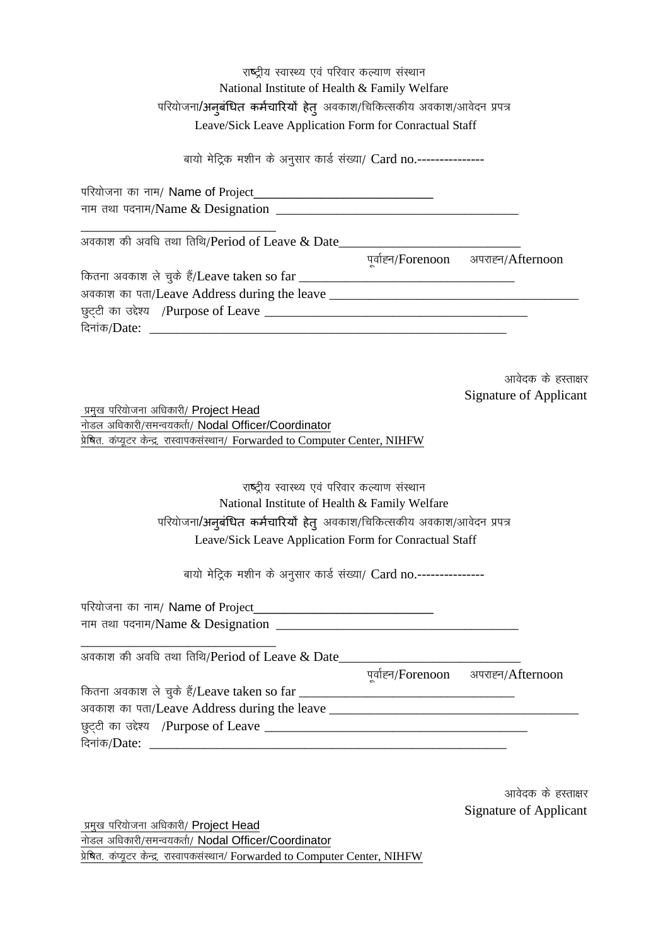| राष्ट्रीय स्वास्थ्य एवं परिवार कल्याण संस्थान                                                                                     |
|-----------------------------------------------------------------------------------------------------------------------------------|
| National Institute of Health & Family Welfare                                                                                     |
| परियोजना/अनुबंधित कर्मचारियों हेतु अवकाश/चिकित्सकीय अवकाश/आवेदन प्रपत्र<br>Leave/Sick Leave Application Form for Conractual Staff |
|                                                                                                                                   |
| बायो मेट्रिक मशीन के अनुसार कार्ड संख्या/ Card no.---------------                                                                 |
|                                                                                                                                   |
|                                                                                                                                   |
|                                                                                                                                   |
|                                                                                                                                   |
| पूर्वाह्न/Forenoon अपराह्न/Afternoon                                                                                              |
|                                                                                                                                   |
|                                                                                                                                   |
|                                                                                                                                   |
|                                                                                                                                   |
|                                                                                                                                   |
| आवेदक के हस्ताक्षर                                                                                                                |
| <b>Signature of Applicant</b>                                                                                                     |
| प्रमुख परियोजना अधिकारी/ Project Head                                                                                             |
| नोडल अधिकारी/समन्वयकर्ता/ Nodal Officer/Coordinator                                                                               |
| प्रेषित. कंप्यूटर केन्द्र, रास्वापकसंस्थान/ Forwarded to Computer Center, NIHFW                                                   |
|                                                                                                                                   |
| राष्ट्रीय स्वास्थ्य एवं परिवार कल्याण संस्थान                                                                                     |
| National Institute of Health & Family Welfare                                                                                     |
| परियोजना/अन्बंधित कर्मचारियों हेत् अवकाश/चिकित्सकीय अवकाश/आवेदन प्रपत्र                                                           |
| Leave/Sick Leave Application Form for Conractual Staff                                                                            |
|                                                                                                                                   |
| बायो मेट्रिक मशीन के अनुसार कार्ड संख्या/ Card no.---------------                                                                 |
|                                                                                                                                   |
|                                                                                                                                   |
|                                                                                                                                   |
|                                                                                                                                   |
| पूर्वाह्न/Forenoon अपराह्न/Afternoon                                                                                              |
|                                                                                                                                   |
|                                                                                                                                   |
|                                                                                                                                   |
|                                                                                                                                   |
|                                                                                                                                   |
|                                                                                                                                   |

आवेदक के हस्ताक्षर Signature of Applicant

प्रमुख परियोजना अधिकारी/ Project Head नोडल अधिकारी/समन्वयकर्ता/ Nodal Officer/Coordinator प्रेषित. कंप्यूटर केन्द्र, रास्वापकसंस्थान/ Forwarded to Computer Center, NIHFW